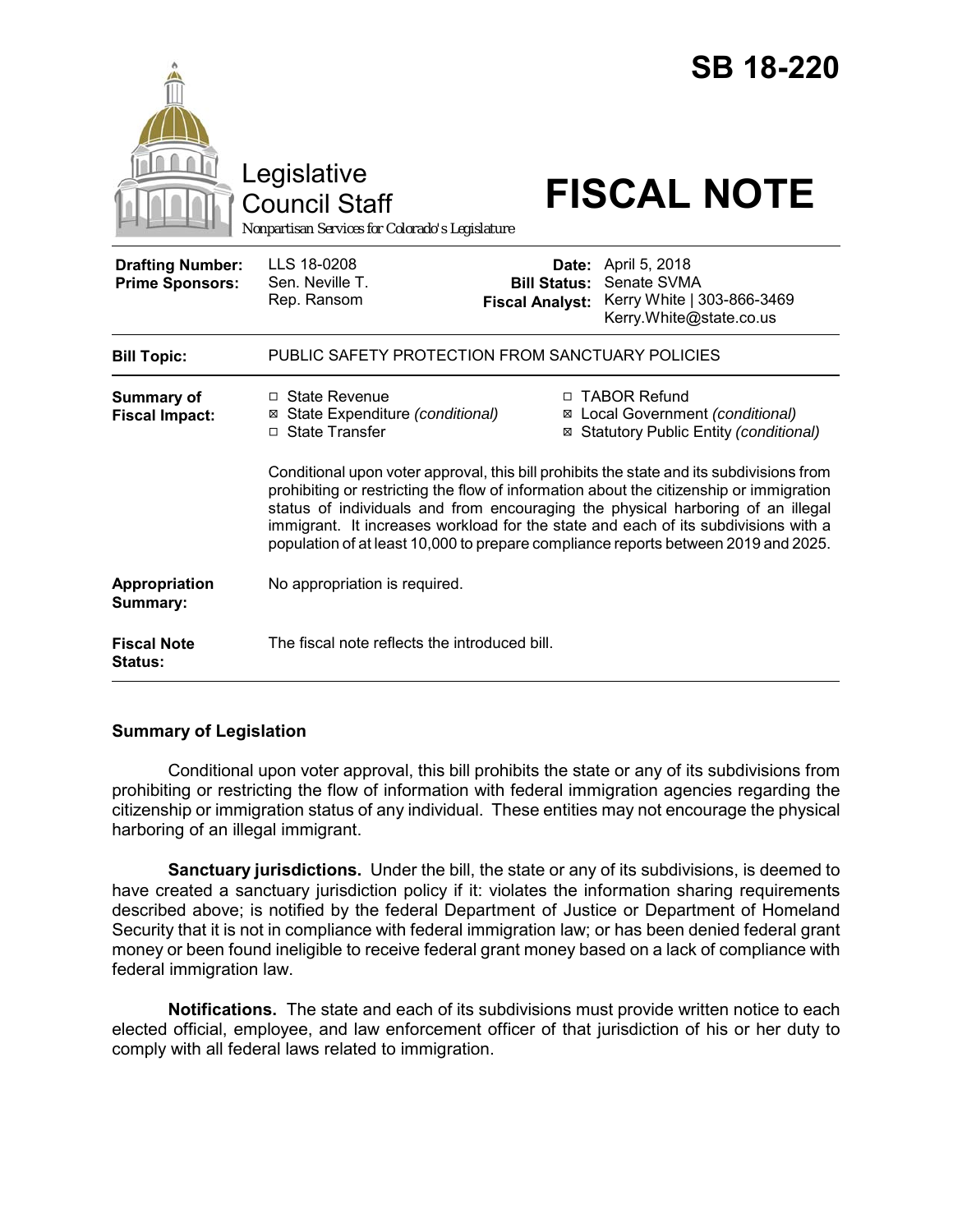|                                                   | Legislative<br>Council Staff<br>Nonpartisan Services for Colorado's Legislature                                                                                                                                                                                                                                                                        |                                               | <b>SB 18-220</b><br><b>FISCAL NOTE</b>                                                                                                                                                |
|---------------------------------------------------|--------------------------------------------------------------------------------------------------------------------------------------------------------------------------------------------------------------------------------------------------------------------------------------------------------------------------------------------------------|-----------------------------------------------|---------------------------------------------------------------------------------------------------------------------------------------------------------------------------------------|
| <b>Drafting Number:</b><br><b>Prime Sponsors:</b> | LLS 18-0208<br>Sen. Neville T.<br>Rep. Ransom                                                                                                                                                                                                                                                                                                          | <b>Bill Status:</b><br><b>Fiscal Analyst:</b> | <b>Date:</b> April 5, 2018<br>Senate SVMA<br>Kerry White   303-866-3469<br>Kerry.White@state.co.us                                                                                    |
| <b>Bill Topic:</b>                                | PUBLIC SAFETY PROTECTION FROM SANCTUARY POLICIES                                                                                                                                                                                                                                                                                                       |                                               |                                                                                                                                                                                       |
| <b>Summary of</b><br><b>Fiscal Impact:</b>        | $\Box$ State Revenue<br>State Expenditure (conditional)<br>⊠<br>□ State Transfer                                                                                                                                                                                                                                                                       | ⊠<br>⊠                                        | □ TABOR Refund<br>Local Government (conditional)<br>Statutory Public Entity (conditional)<br>Conditional upon voter approval, this bill prohibits the state and its subdivisions from |
|                                                   | prohibiting or restricting the flow of information about the citizenship or immigration<br>status of individuals and from encouraging the physical harboring of an illegal<br>immigrant. It increases workload for the state and each of its subdivisions with a<br>population of at least 10,000 to prepare compliance reports between 2019 and 2025. |                                               |                                                                                                                                                                                       |
| Appropriation<br>Summary:                         | No appropriation is required.                                                                                                                                                                                                                                                                                                                          |                                               |                                                                                                                                                                                       |
| <b>Fiscal Note</b><br>Status:                     | The fiscal note reflects the introduced bill.                                                                                                                                                                                                                                                                                                          |                                               |                                                                                                                                                                                       |

### **Summary of Legislation**

Conditional upon voter approval, this bill prohibits the state or any of its subdivisions from prohibiting or restricting the flow of information with federal immigration agencies regarding the citizenship or immigration status of any individual. These entities may not encourage the physical harboring of an illegal immigrant.

**Sanctuary jurisdictions.** Under the bill, the state or any of its subdivisions, is deemed to have created a sanctuary jurisdiction policy if it: violates the information sharing requirements described above; is notified by the federal Department of Justice or Department of Homeland Security that it is not in compliance with federal immigration law; or has been denied federal grant money or been found ineligible to receive federal grant money based on a lack of compliance with federal immigration law.

**Notifications.** The state and each of its subdivisions must provide written notice to each elected official, employee, and law enforcement officer of that jurisdiction of his or her duty to comply with all federal laws related to immigration.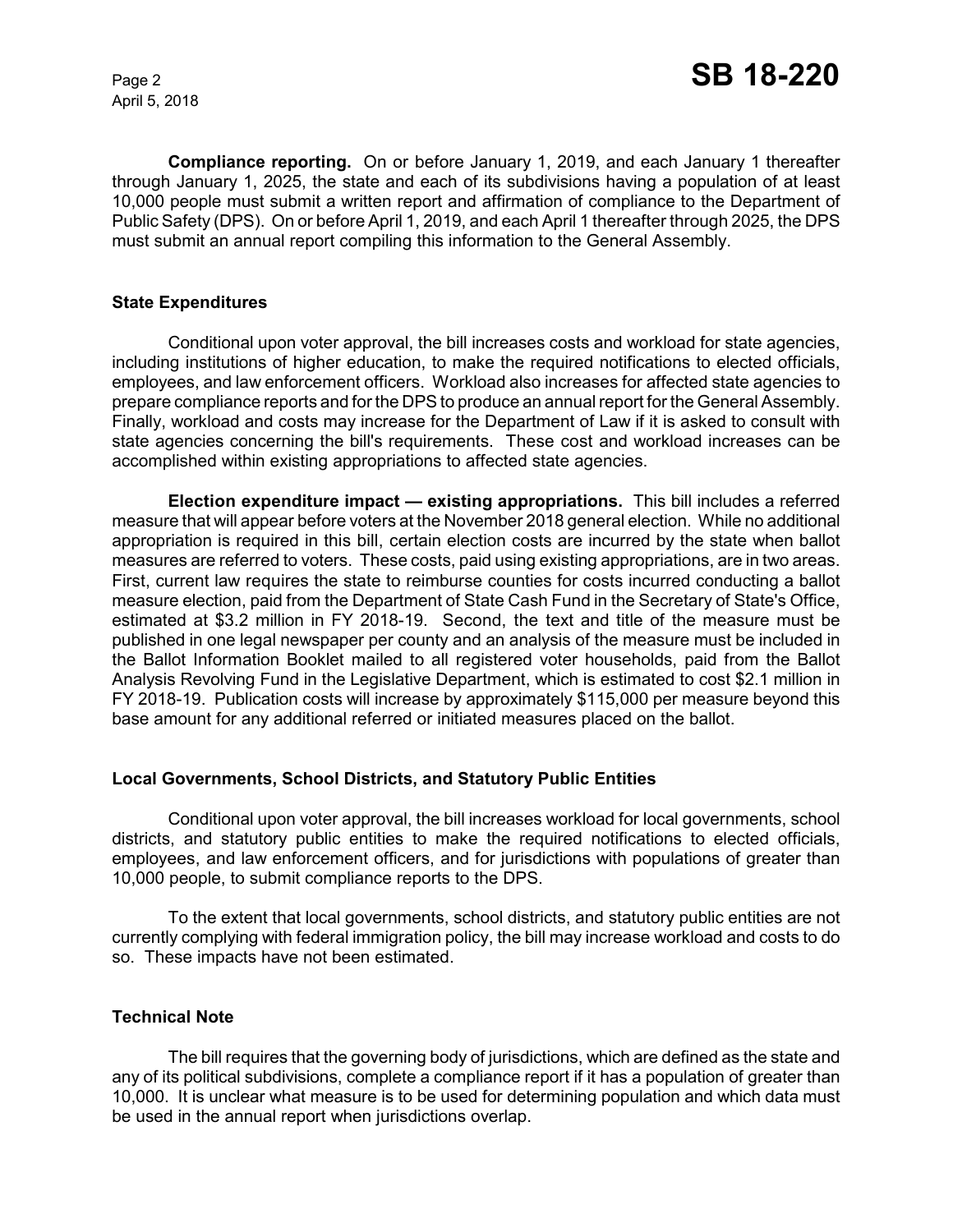April 5, 2018

**Compliance reporting.** On or before January 1, 2019, and each January 1 thereafter through January 1, 2025, the state and each of its subdivisions having a population of at least 10,000 people must submit a written report and affirmation of compliance to the Department of Public Safety (DPS). On or before April 1, 2019, and each April 1 thereafter through 2025, the DPS must submit an annual report compiling this information to the General Assembly.

### **State Expenditures**

Conditional upon voter approval, the bill increases costs and workload for state agencies, including institutions of higher education, to make the required notifications to elected officials, employees, and law enforcement officers. Workload also increases for affected state agencies to prepare compliance reports and for the DPS to produce an annual report for the General Assembly. Finally, workload and costs may increase for the Department of Law if it is asked to consult with state agencies concerning the bill's requirements. These cost and workload increases can be accomplished within existing appropriations to affected state agencies.

**Election expenditure impact — existing appropriations.** This bill includes a referred measure that will appear before voters at the November 2018 general election. While no additional appropriation is required in this bill, certain election costs are incurred by the state when ballot measures are referred to voters. These costs, paid using existing appropriations, are in two areas. First, current law requires the state to reimburse counties for costs incurred conducting a ballot measure election, paid from the Department of State Cash Fund in the Secretary of State's Office, estimated at \$3.2 million in FY 2018-19. Second, the text and title of the measure must be published in one legal newspaper per county and an analysis of the measure must be included in the Ballot Information Booklet mailed to all registered voter households, paid from the Ballot Analysis Revolving Fund in the Legislative Department, which is estimated to cost \$2.1 million in FY 2018-19. Publication costs will increase by approximately \$115,000 per measure beyond this base amount for any additional referred or initiated measures placed on the ballot.

### **Local Governments, School Districts, and Statutory Public Entities**

Conditional upon voter approval, the bill increases workload for local governments, school districts, and statutory public entities to make the required notifications to elected officials, employees, and law enforcement officers, and for jurisdictions with populations of greater than 10,000 people, to submit compliance reports to the DPS.

To the extent that local governments, school districts, and statutory public entities are not currently complying with federal immigration policy, the bill may increase workload and costs to do so. These impacts have not been estimated.

### **Technical Note**

The bill requires that the governing body of jurisdictions, which are defined as the state and any of its political subdivisions, complete a compliance report if it has a population of greater than 10,000. It is unclear what measure is to be used for determining population and which data must be used in the annual report when jurisdictions overlap.